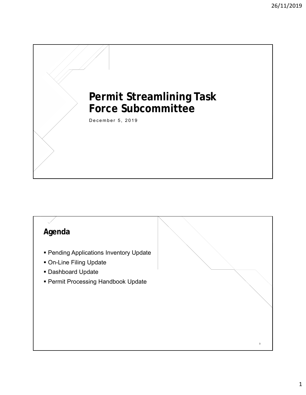# **Permit Streamlining Task Force Subcommittee**

December 5, 2019

**Click to edit Master title style**

## **Click to edit Master title style Agenda**

- **Pending Applications Inventory Update**
- On-Line Filing Update
- Dashboard Update
- Permit Processing Handbook Update

3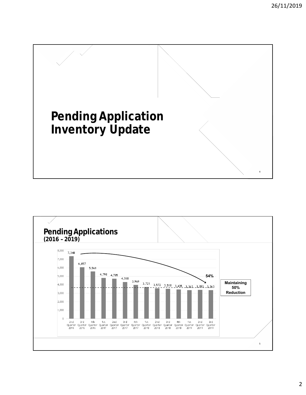

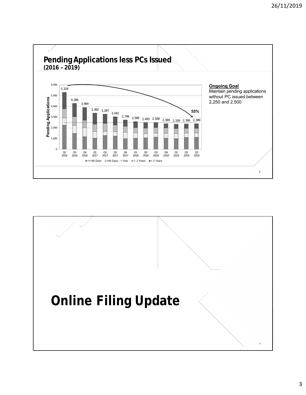

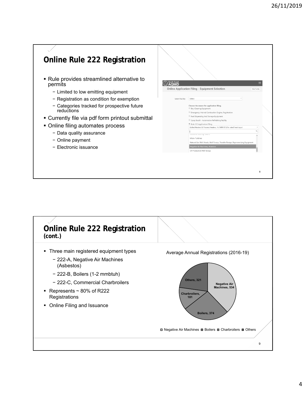8

#### **Conline Rule 222 Registration**  Rule provides streamlined alternative to South Coast permits Online Application Filing - Equipment Selection − Limited to low emitting equipment − Registration as condition for exemption Select Facility Select − Categories tracked for prospective future Choose the reason for application filing. Dry-Cleaning Equipment reductions Emergency Internal Combustion Engine, Registration  $\textcircled{\tiny \textcircled{\tiny \textcircled{\tiny \textcirc}}}$  Fuel Dispensing And Storage Equipment Currently file via pdf form printout submittal Spray Booth - Automotive Refinishing Facility  $\bullet$  Rule 222 Application Filing • Online filing automates process Boiler/Heaters & Process Heaters, 1-2 MM BTU/hr rated heat input − Data quality assurance Micro-Turbines − Online payment Natural Gas Well H ads, Well Pu Negative Air Machines, Asb − Electronic issuance Oil Production Well Group

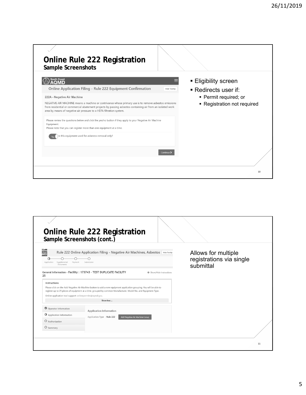| <b>Online Rule 222 Registration</b><br>Sample Screenshots                                                                                                                                                                                                                                                                                                                                                      |                                                                                                                                  |
|----------------------------------------------------------------------------------------------------------------------------------------------------------------------------------------------------------------------------------------------------------------------------------------------------------------------------------------------------------------------------------------------------------------|----------------------------------------------------------------------------------------------------------------------------------|
| <b>South Coast</b><br>Online Application Filing - Rule 222 Equipment Confirmation<br>222A - Negative Air Machine<br>NEGATIVE AIR MACHINE means a machine or contrivance whose primary use is to remove asbestos emissions<br>from residential or commercial abatement projects by passing asbestos containing air from an isolated work<br>area by means of negative air pressure to a HEPA filtration system. | <b>Eligibility screen</b><br><b>Hide Tooltip</b><br>■ Redirects user if:<br>• Permit required; or<br>• Registration not required |
| Please review the questions below and click the yes/no button if they apply to your Negative Air Machine<br>Equipment.<br>Please note that you can register more than one equipment at a time.<br>Is this equipment used for asbestos removal only?                                                                                                                                                            |                                                                                                                                  |
|                                                                                                                                                                                                                                                                                                                                                                                                                | Continue ><br>10                                                                                                                 |

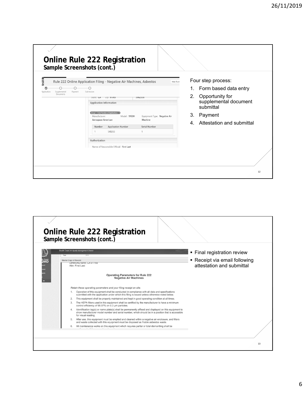| Sample Screenshots (cont.)                          | Online Rule 222 Registration                                                                                                                                                                                                                                                                                                                                              |                                                                                                   |                                                                                                                                                               |
|-----------------------------------------------------|---------------------------------------------------------------------------------------------------------------------------------------------------------------------------------------------------------------------------------------------------------------------------------------------------------------------------------------------------------------------------|---------------------------------------------------------------------------------------------------|---------------------------------------------------------------------------------------------------------------------------------------------------------------|
| Supplemental<br>Payment<br>Application<br>Documents | Rule 222 Online Application Filing - Negative Air Machines, Asbestos<br>Submission<br>STATE: CA LID YI/05<br><b>Application Information</b><br><b>Group 1: Total Number of Applications - 1</b><br>Manufacturer:<br>Model: 9103H<br>Aerospace American<br><b>Application Number</b><br>Number<br>548265<br>1<br>Authorization<br>Name of Responsible Official: First Last | Hide Toolt<br>3902330<br>Equipment Type: Negative Air<br>Machine<br>Serial Number<br>$\mathbf{1}$ | Four step process:<br>1. Form based data entry<br>2. Opportunity for<br>supplemental document<br>submittal<br>3.<br>Payment<br>Attestation and submittal<br>4 |
|                                                     |                                                                                                                                                                                                                                                                                                                                                                           |                                                                                                   | 12                                                                                                                                                            |

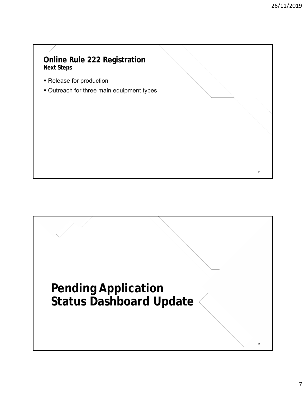14 14

### **Conline Rule 222 Registration Next Steps**

- Release for production
- **Outreach for three main equipment types**

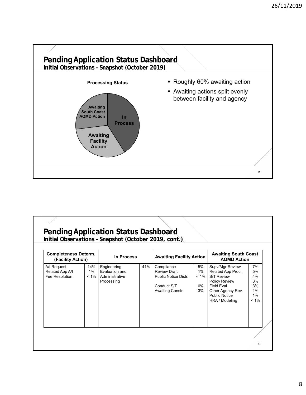

| <b>Completeness Determ.</b><br>(Facility Action) |                      | In Process                                                    |     | <b>Awaiting Facility Action</b>                                                              |                                    | <b>Awaiting South Coast</b><br><b>AQMD Action</b>                                                                                                              |                                                   |
|--------------------------------------------------|----------------------|---------------------------------------------------------------|-----|----------------------------------------------------------------------------------------------|------------------------------------|----------------------------------------------------------------------------------------------------------------------------------------------------------------|---------------------------------------------------|
| A/I Request<br>Related App A/I<br>Fee Resolution | 14%<br>1%<br>$< 1\%$ | Engineering<br>Evaluation and<br>Administrative<br>Processing | 41% | Compliance<br><b>Review Draft</b><br>Public Notice Distr.<br>Conduct S/T<br>Awaiting Constr. | 5%<br>$1\%$<br>$< 1\%$<br>6%<br>3% | Supv/Mgr Review<br>Related App Proc.<br><b>S/T Review</b><br><b>Policy Review</b><br>Field Fval<br>Other Agency Rev.<br><b>Public Notice</b><br>HRA / Modeling | 7%<br>5%<br>4%<br>3%<br>3%<br>1%<br>1%<br>$< 1\%$ |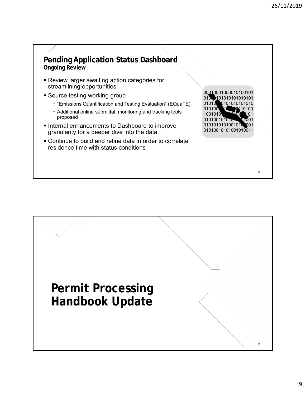#### **Pending Application Status Dashboard Ongoing Review**

- Review larger awaiting action categories for streamlining opportunities
- **Source testing working group** 
	- − "Emissions Quantification and Testing Evaluation" (EQuaTE)
	- − Additional online submittal, monitoring and tracking tools proposed
- **Internal enhancements to Dashboard to improve** granularity for a deeper dive into the data

**Permit Processing** 

**Handbook Update**

 Continue to build and refine data in order to correlate residence time with status conditions

00010000010100101 0100101010101010101 01010 010100 1C 0110100 100101 010100101 01010101001010001 01010010101001010011

18 18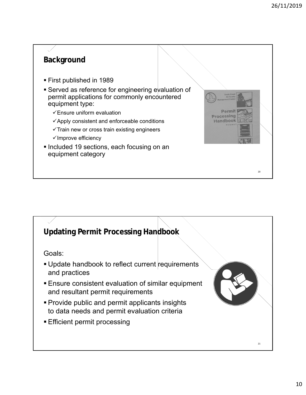20 20

Permit **Processing** Handbook

# **Click to edit Master title style Background**

- First published in 1989
- Served as reference for engineering evaluation of permit applications for commonly encountered equipment type:
	- $\checkmark$  Ensure uniform evaluation
	- $\checkmark$  Apply consistent and enforceable conditions
	- $\checkmark$  Train new or cross train existing engineers
	- $\checkmark$  Improve efficiency
- **Included 19 sections, each focusing on an** equipment category

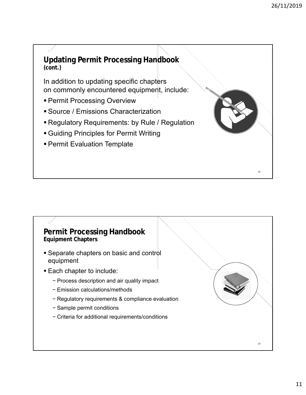